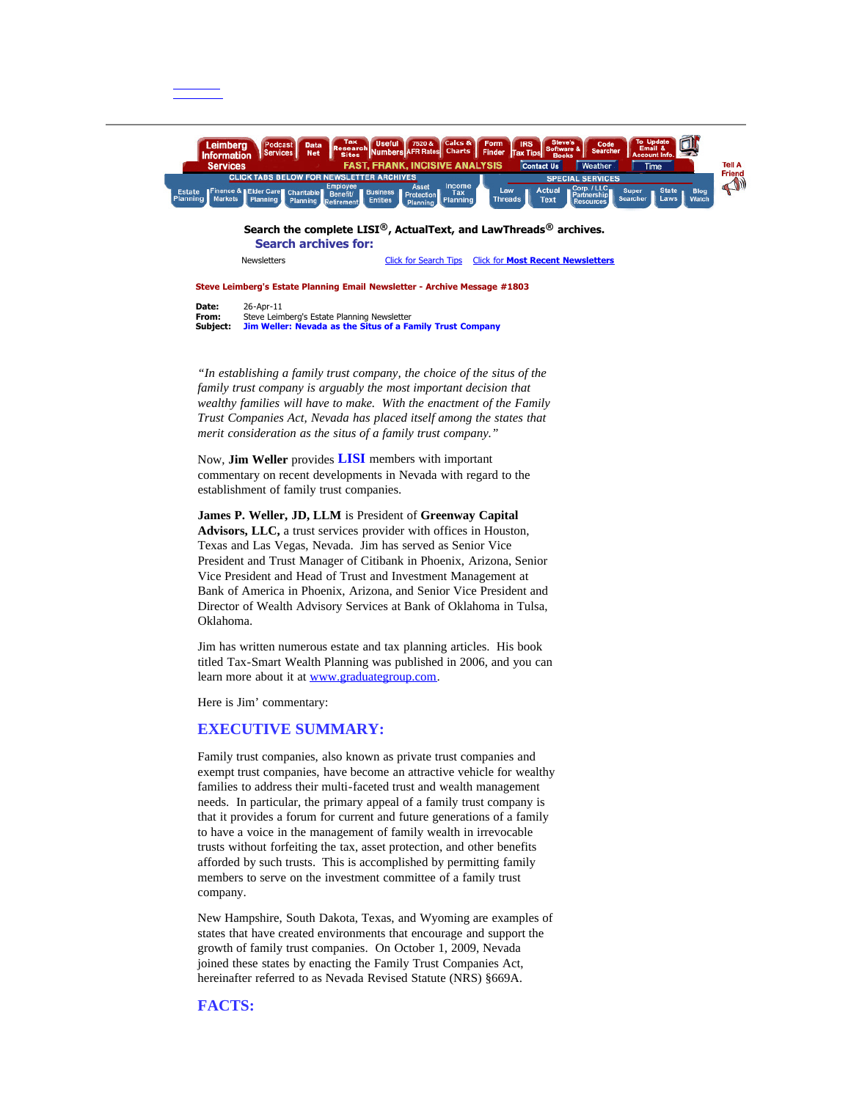#### **Steve Leimberg's Estate Planning Email Newsletter - Archive Message #1803**

**Date:** 26-Apr-11<br>**From:** Steve Lein **From:** Steve Leimberg's Estate Planning Newsletter **Subject: Jim Weller: Nevada as the Situs of a Family Trust Company**

*"In establishing a family trust company, the choice of the situs of the family trust company is arguably the most important decision that wealthy families will have to make. With the enactment of the Family Trust Companies Act, Nevada has placed itself among the states that merit consideration as the situs of a family trust company."*

Now, **Jim Weller** provides **LISI** members with important commentary on recent developments in Nevada with regard to the establishment of family trust companies.

**James P. Weller, JD, LLM** is President of **Greenway Capital Advisors, LLC,** a trust services provider with offices in Houston, Texas and Las Vegas, Nevada. Jim has served as Senior Vice President and Trust Manager of Citibank in Phoenix, Arizona, Senior Vice President and Head of Trust and Investment Management at Bank of America in Phoenix, Arizona, and Senior Vice President and Director of Wealth Advisory Services at Bank of Oklahoma in Tulsa, Oklahoma.

Jim has written numerous estate and tax planning articles. His book titled Tax-Smart Wealth Planning was published in 2006, and you can learn more about it at [www.graduategroup.com.](http://www.graduategroup.com/)

Here is Jim' commentary:

#### **EXECUTIVE SUMMARY:**

Family trust companies, also known as private trust companies and exempt trust companies, have become an attractive vehicle for wealthy families to address their multi-faceted trust and wealth management needs. In particular, the primary appeal of a family trust company is that it provides a forum for current and future generations of a family to have a voice in the management of family wealth in irrevocable trusts without forfeiting the tax, asset protection, and other benefits afforded by such trusts. This is accomplished by permitting family members to serve on the investment committee of a family trust company.

New Hampshire, South Dakota, Texas, and Wyoming are examples of states that have created environments that encourage and support the growth of family trust companies. On October 1, 2009, Nevada joined these states by enacting the Family Trust Companies Act, hereinafter referred to as Nevada Revised Statute (NRS) §669A.

# **FACTS:**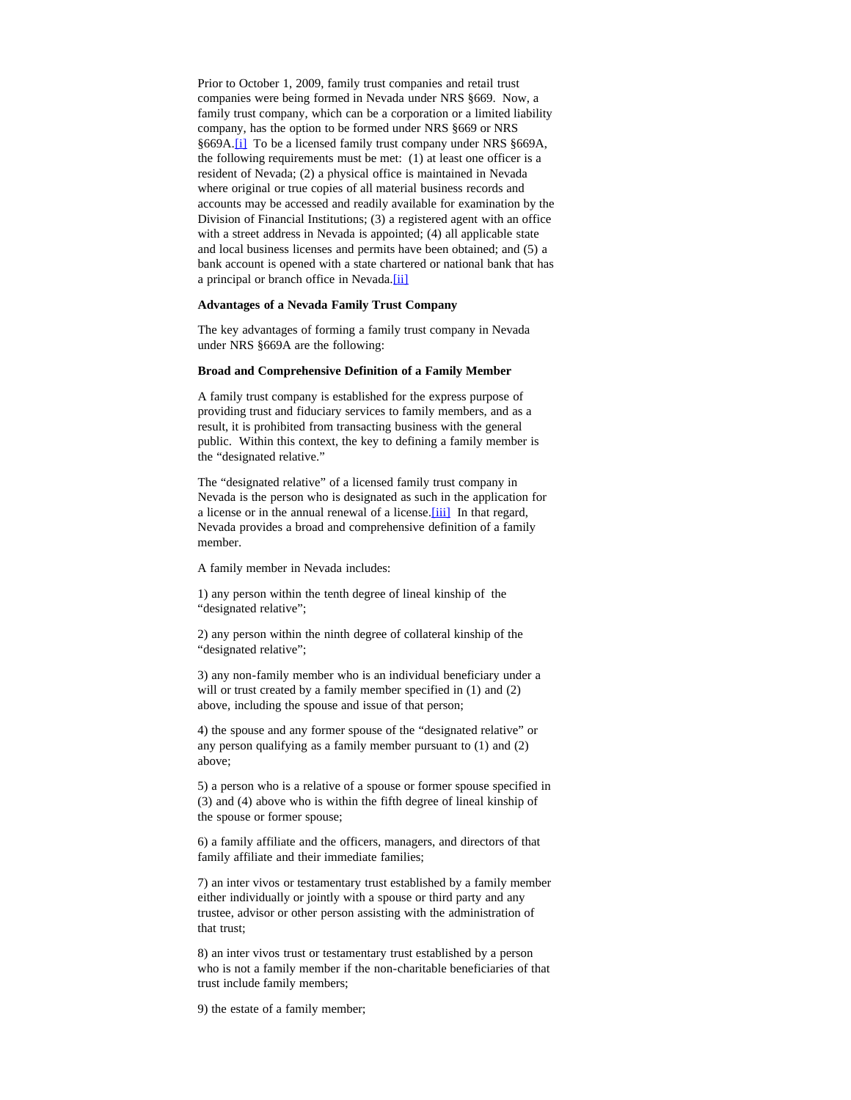<span id="page-1-0"></span>Prior to October 1, 2009, family trust companies and retail trust companies were being formed in Nevada under NRS §669. Now, a family trust company, which can be a corporation or a limited liability company, has the option to be formed under NRS §669 or NRS §669A.<sup>[\[i\]](#page-4-0)</sup> To be a licensed family trust company under NRS §669A, the following requirements must be met: (1) at least one officer is a resident of Nevada; (2) a physical office is maintained in Nevada where original or true copies of all material business records and accounts may be accessed and readily available for examination by the Division of Financial Institutions; (3) a registered agent with an office with a street address in Nevada is appointed; (4) all applicable state and local business licenses and permits have been obtained; and (5) a bank account is opened with a state chartered or national bank that has a principal or branch office in Nevada.[\[ii\]](#page-4-1)

#### <span id="page-1-1"></span>**Advantages of a Nevada Family Trust Company**

The key advantages of forming a family trust company in Nevada under NRS §669A are the following:

#### **Broad and Comprehensive Definition of a Family Member**

A family trust company is established for the express purpose of providing trust and fiduciary services to family members, and as a result, it is prohibited from transacting business with the general public. Within this context, the key to defining a family member is the "designated relative."

<span id="page-1-2"></span>The "designated relative" of a licensed family trust company in Nevada is the person who is designated as such in the application for a license or in the annual renewal of a license.[\[iii\]](#page-4-2) In that regard, Nevada provides a broad and comprehensive definition of a family member.

A family member in Nevada includes:

1) any person within the tenth degree of lineal kinship of the "designated relative";

2) any person within the ninth degree of collateral kinship of the "designated relative";

3) any non-family member who is an individual beneficiary under a will or trust created by a family member specified in  $(1)$  and  $(2)$ above, including the spouse and issue of that person;

4) the spouse and any former spouse of the "designated relative" or any person qualifying as a family member pursuant to (1) and (2) above;

5) a person who is a relative of a spouse or former spouse specified in (3) and (4) above who is within the fifth degree of lineal kinship of the spouse or former spouse;

6) a family affiliate and the officers, managers, and directors of that family affiliate and their immediate families;

7) an inter vivos or testamentary trust established by a family member either individually or jointly with a spouse or third party and any trustee, advisor or other person assisting with the administration of that trust;

8) an inter vivos trust or testamentary trust established by a person who is not a family member if the non-charitable beneficiaries of that trust include family members;

9) the estate of a family member;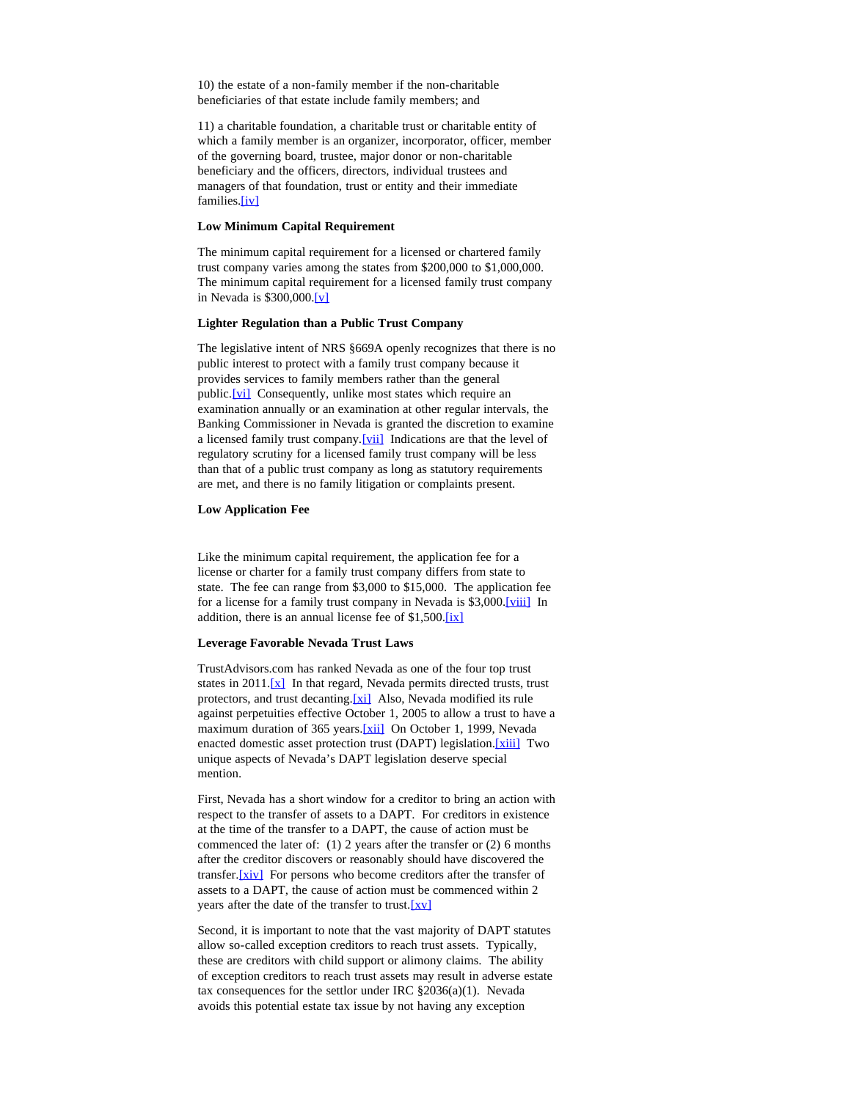10) the estate of a non-family member if the non-charitable beneficiaries of that estate include family members; and

11) a charitable foundation, a charitable trust or charitable entity of which a family member is an organizer, incorporator, officer, member of the governing board, trustee, major donor or non-charitable beneficiary and the officers, directors, individual trustees and managers of that foundation, trust or entity and their immediate families[.\[iv\]](#page-4-3)

#### <span id="page-2-0"></span>**Low Minimum Capital Requirement**

The minimum capital requirement for a licensed or chartered family trust company varies among the states from \$200,000 to \$1,000,000. The minimum capital requirement for a licensed family trust company in Nevada is \$300,000[.\[v\]](#page-4-4)

# <span id="page-2-1"></span>**Lighter Regulation than a Public Trust Company**

<span id="page-2-2"></span>The legislative intent of NRS §669A openly recognizes that there is no public interest to protect with a family trust company because it provides services to family members rather than the general public.<sup>[\[vi\]](#page-4-5)</sup> Consequently, unlike most states which require an examination annually or an examination at other regular intervals, the Banking Commissioner in Nevada is granted the discretion to examine a licensed family trust company.[\[vii\]](#page-4-6) Indications are that the level of regulatory scrutiny for a licensed family trust company will be less than that of a public trust company as long as statutory requirements are met, and there is no family litigation or complaints present.

# <span id="page-2-3"></span>**Low Application Fee**

Like the minimum capital requirement, the application fee for a license or charter for a family trust company differs from state to state. The fee can range from \$3,000 to \$15,000. The application fee for a license for a family trust company in Nevada is \$3,000.[\[viii\]](#page-4-7) In addition, there is an annual license fee of  $$1,500$ .[\[ix\]](#page-4-8)

# <span id="page-2-5"></span><span id="page-2-4"></span>**Leverage Favorable Nevada Trust Laws**

<span id="page-2-8"></span><span id="page-2-7"></span><span id="page-2-6"></span>TrustAdvisors.com has ranked Nevada as one of the four top trust states in 2011. $[x]$  In that regard, Nevada permits directed trusts, trust protectors, and trust decanting.[\[xi\]](#page-5-0) Also, Nevada modified its rule against perpetuities effective October 1, 2005 to allow a trust to have a maximum duration of 365 years.<sup>[xii]</sup> On October 1, 1999, Nevada enacted domestic asset protection trust (DAPT) legislation[.\[xiii\]](#page-5-2) Two unique aspects of Nevada's DAPT legislation deserve special mention.

<span id="page-2-9"></span>First, Nevada has a short window for a creditor to bring an action with respect to the transfer of assets to a DAPT. For creditors in existence at the time of the transfer to a DAPT, the cause of action must be commenced the later of: (1) 2 years after the transfer or (2) 6 months after the creditor discovers or reasonably should have discovered the transfer.<sup>[\[xiv\]](#page-5-3)</sup> For persons who become creditors after the transfer of assets to a DAPT, the cause of action must be commenced within 2 years after the date of the transfer to trust.[\[xv\]](#page-5-4)

<span id="page-2-11"></span><span id="page-2-10"></span>Second, it is important to note that the vast majority of DAPT statutes allow so-called exception creditors to reach trust assets. Typically, these are creditors with child support or alimony claims. The ability of exception creditors to reach trust assets may result in adverse estate tax consequences for the settlor under IRC §2036(a)(1). Nevada avoids this potential estate tax issue by not having any exception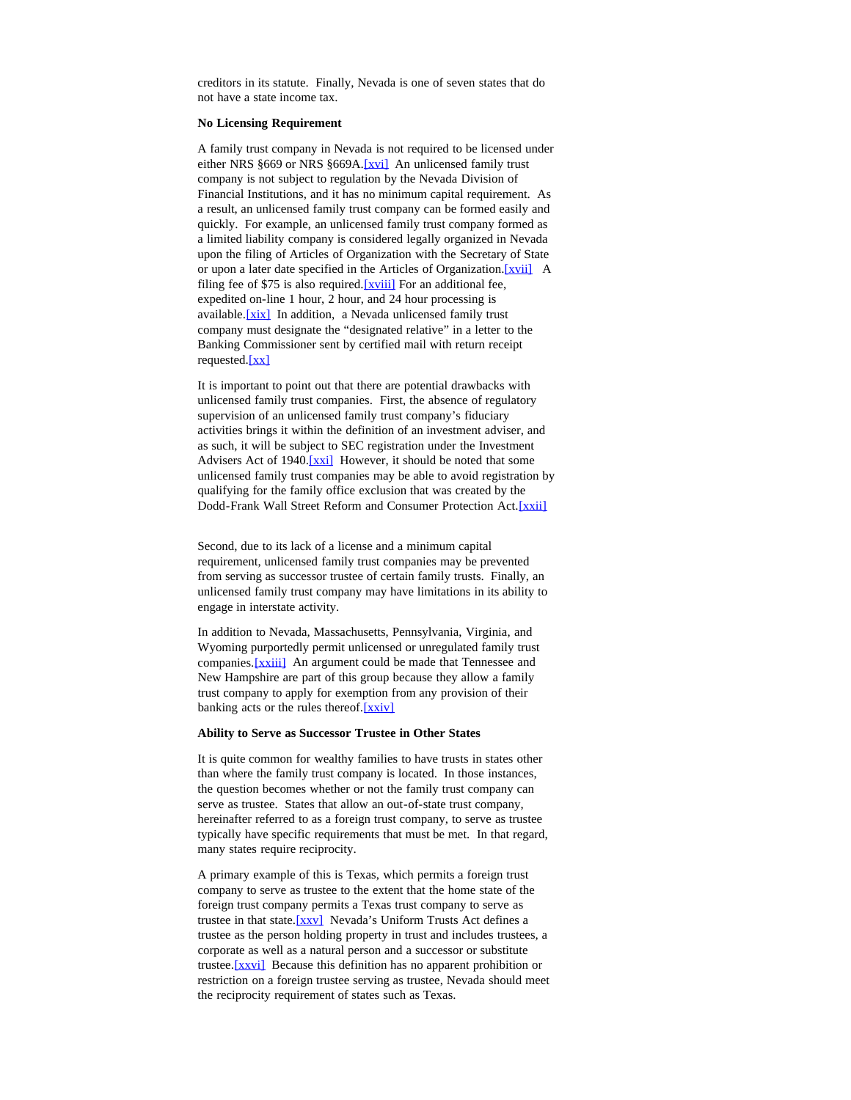creditors in its statute. Finally, Nevada is one of seven states that do not have a state income tax.

#### **No Licensing Requirement**

<span id="page-3-0"></span>A family trust company in Nevada is not required to be licensed under either NRS §669 or NRS §669A.[\[xvi\]](#page-5-5) An unlicensed family trust company is not subject to regulation by the Nevada Division of Financial Institutions, and it has no minimum capital requirement. As a result, an unlicensed family trust company can be formed easily and quickly. For example, an unlicensed family trust company formed as a limited liability company is considered legally organized in Nevada upon the filing of Articles of Organization with the Secretary of State or upon a later date specified in the Articles of Organization. [xvii] A filing fee of \$75 is also required. [\[xviii\]](#page-5-7) For an additional fee, expedited on-line 1 hour, 2 hour, and 24 hour processing is available. [\[xix\]](#page-5-8) In addition, a Nevada unlicensed family trust company must designate the "designated relative" in a letter to the Banking Commissioner sent by certified mail with return receipt requested.[\[xx\]](#page-5-9)

<span id="page-3-5"></span><span id="page-3-4"></span><span id="page-3-3"></span><span id="page-3-2"></span><span id="page-3-1"></span>It is important to point out that there are potential drawbacks with unlicensed family trust companies. First, the absence of regulatory supervision of an unlicensed family trust company's fiduciary activities brings it within the definition of an investment adviser, and as such, it will be subject to SEC registration under the Investment Advisers Act of 1940.<sup>[xxi]</sup> However, it should be noted that some unlicensed family trust companies may be able to avoid registration by qualifying for the family office exclusion that was created by the Dodd-Frank Wall Street Reform and Consumer Protection Act. [xxii]

<span id="page-3-6"></span>Second, due to its lack of a license and a minimum capital requirement, unlicensed family trust companies may be prevented from serving as successor trustee of certain family trusts. Finally, an unlicensed family trust company may have limitations in its ability to engage in interstate activity.

<span id="page-3-7"></span>In addition to Nevada, Massachusetts, Pennsylvania, Virginia, and Wyoming purportedly permit unlicensed or unregulated family trust companies. [\[xxiii\]](#page-5-12) An argument could be made that Tennessee and New Hampshire are part of this group because they allow a family trust company to apply for exemption from any provision of their banking acts or the rules thereof.[\[xxiv\]](#page-5-13)

#### <span id="page-3-8"></span>**Ability to Serve as Successor Trustee in Other States**

It is quite common for wealthy families to have trusts in states other than where the family trust company is located. In those instances, the question becomes whether or not the family trust company can serve as trustee. States that allow an out-of-state trust company, hereinafter referred to as a foreign trust company, to serve as trustee typically have specific requirements that must be met. In that regard, many states require reciprocity.

<span id="page-3-10"></span><span id="page-3-9"></span>A primary example of this is Texas, which permits a foreign trust company to serve as trustee to the extent that the home state of the foreign trust company permits a Texas trust company to serve as trustee in that state.[\[xxv\]](#page-5-14) Nevada's Uniform Trusts Act defines a trustee as the person holding property in trust and includes trustees, a corporate as well as a natural person and a successor or substitute trustee.<sup>[xxvi]</sup> Because this definition has no apparent prohibition or restriction on a foreign trustee serving as trustee, Nevada should meet the reciprocity requirement of states such as Texas.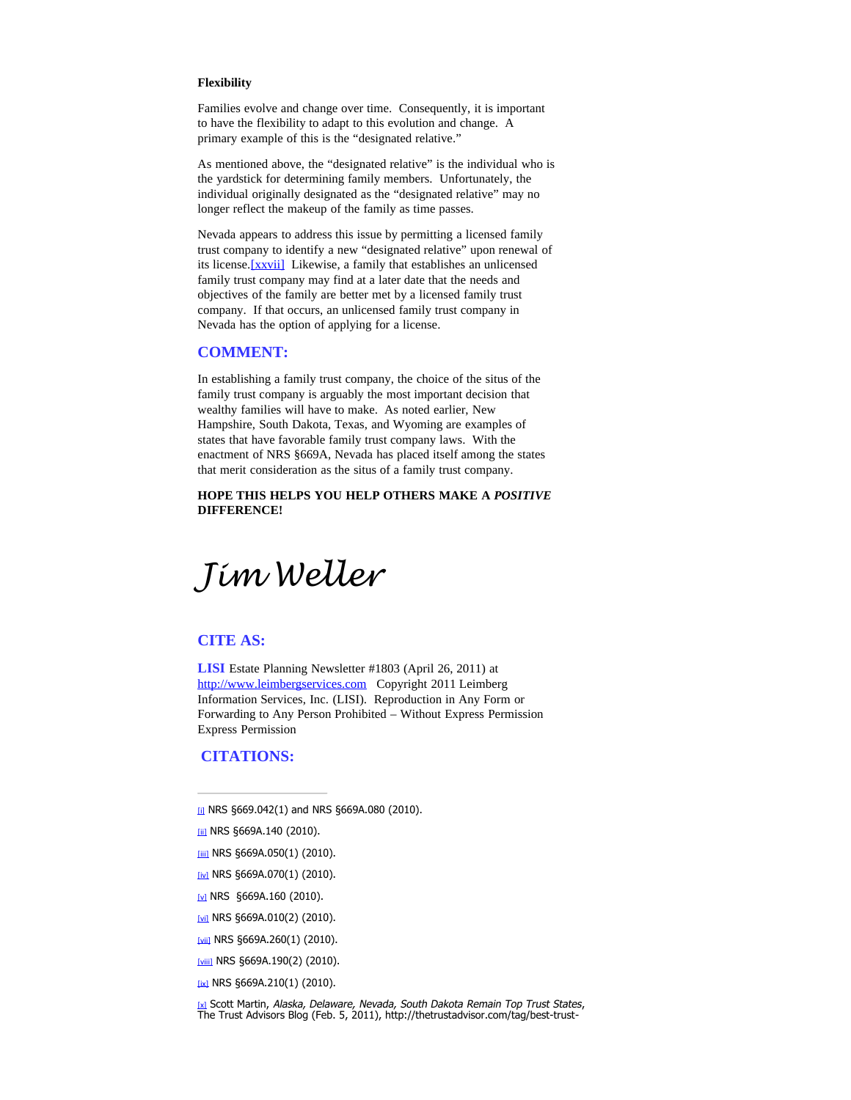#### **Flexibility**

Families evolve and change over time. Consequently, it is important to have the flexibility to adapt to this evolution and change. A primary example of this is the "designated relative."

As mentioned above, the "designated relative" is the individual who is the yardstick for determining family members. Unfortunately, the individual originally designated as the "designated relative" may no longer reflect the makeup of the family as time passes.

<span id="page-4-10"></span>Nevada appears to address this issue by permitting a licensed family trust company to identify a new "designated relative" upon renewal of its license. [\[xxvii\]](#page-5-16) Likewise, a family that establishes an unlicensed family trust company may find at a later date that the needs and objectives of the family are better met by a licensed family trust company. If that occurs, an unlicensed family trust company in Nevada has the option of applying for a license.

# **COMMENT:**

In establishing a family trust company, the choice of the situs of the family trust company is arguably the most important decision that wealthy families will have to make. As noted earlier, New Hampshire, South Dakota, Texas, and Wyoming are examples of states that have favorable family trust company laws. With the enactment of NRS §669A, Nevada has placed itself among the states that merit consideration as the situs of a family trust company.

**HOPE THIS HELPS YOU HELP OTHERS MAKE A** *POSITIVE* **DIFFERENCE!**

*Jim Weller*

# **CITE AS:**

**LISI** Estate Planning Newsletter #1803 (April 26, 2011) at [http://www.leimbergservices.com](http://www.leimbergservices.com/) Copyright 2011 Leimberg Information Services, Inc. (LISI). Reproduction in Any Form or Forwarding to Any Person Prohibited – Without Express Permission Express Permission

# **CITATIONS:**

- <span id="page-4-0"></span>[\[i\]](#page-1-0) NRS §669.042(1) and NRS §669A.080 (2010).
- <span id="page-4-1"></span>[\[ii\]](#page-1-1) NRS §669A.140 (2010).
- <span id="page-4-2"></span> $\frac{1}{101}$  NRS §669A.050(1) (2010).
- <span id="page-4-3"></span>[\[iv\]](#page-2-0) NRS §669A.070(1) (2010).
- <span id="page-4-4"></span>[\[v\]](#page-2-1) NRS §669A.160 (2010).
- <span id="page-4-5"></span>[\[vi\]](#page-2-2) NRS §669A.010(2) (2010).
- <span id="page-4-6"></span>[\[vii\]](#page-2-3) NRS §669A.260(1) (2010).
- <span id="page-4-7"></span>[\[viii\]](#page-2-4) NRS §669A.190(2) (2010).
- <span id="page-4-9"></span><span id="page-4-8"></span>[\[ix\]](#page-2-5) NRS §669A.210(1) (2010).

<u>ixi</u> Scott Martin, *Alaska, Delaware, Nevada, South Dakota Remain Top Trust States,<br>The Trust Advisors Blog (Feb. 5, 2011), http://thetrustadvisor.com/tag/best-trust-*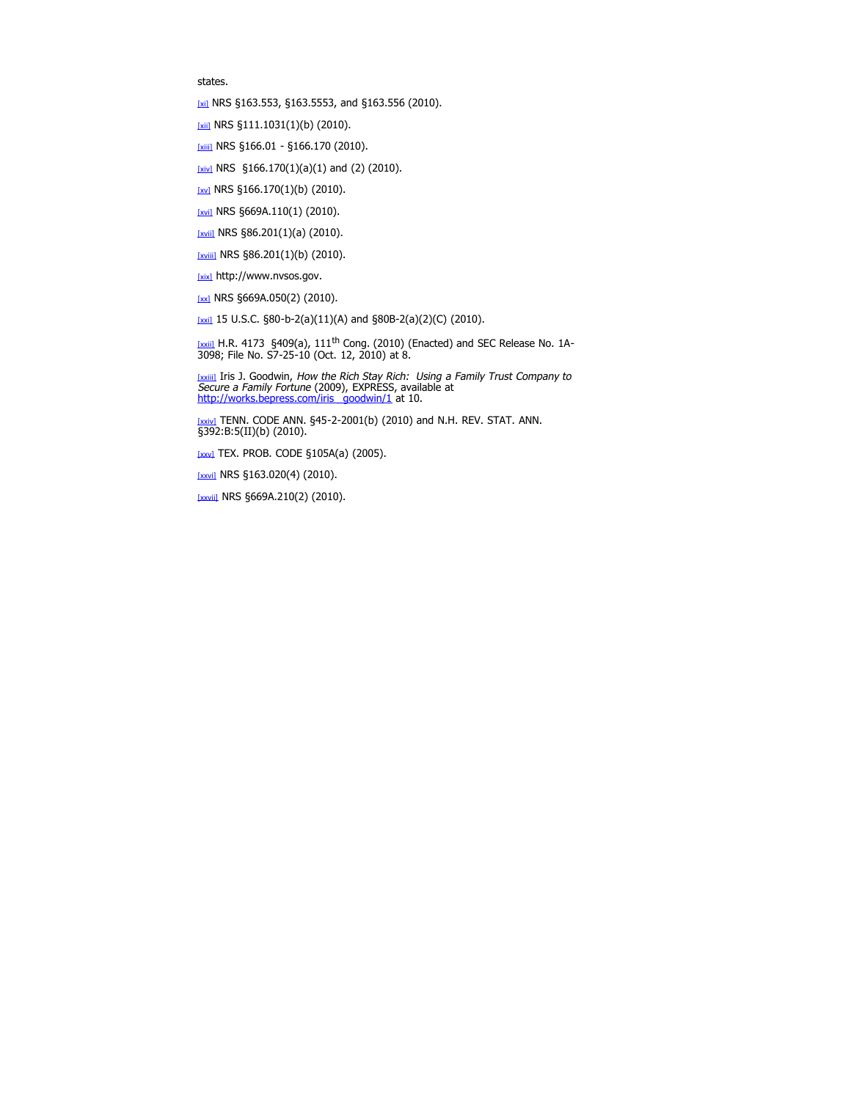states.

<span id="page-5-0"></span>[\[xi\]](#page-2-7) NRS §163.553, §163.5553, and §163.556 (2010).

<span id="page-5-1"></span>[\[xii\]](#page-2-8) NRS §111.1031(1)(b) (2010).

<span id="page-5-2"></span>[\[xiii\]](#page-2-9) NRS §166.01 - §166.170 (2010).

<span id="page-5-3"></span>[\[xiv\]](#page-2-10) NRS  $$166.170(1)(a)(1)$  and (2) (2010).

<span id="page-5-4"></span> $[xy]$  NRS §166.170(1)(b) (2010).

<span id="page-5-5"></span>[\[xvi\]](#page-3-0) NRS §669A.110(1) (2010).

<span id="page-5-6"></span>[\[xvii\]](#page-3-1) NRS §86.201(1)(a) (2010).

<span id="page-5-7"></span>[\[xviii\]](#page-3-2) NRS §86.201(1)(b) (2010).

<span id="page-5-8"></span>[\[xix\]](#page-3-3) http://www.nvsos.gov.

<span id="page-5-9"></span> $[xx]$  NRS §669A.050(2) (2010).

<span id="page-5-10"></span>[\[xxi\]](#page-3-5) 15 U.S.C.  $$80-b-2(a)(11)(A)$  and  $$80B-2(a)(2)(C)$  (2010).

<span id="page-5-11"></span> $[x\sin B$  H.R. 4173 §409(a), 111<sup>th</sup> Cong. (2010) (Enacted) and SEC Release No. 1A-3098; File No. S7-25-10 (Oct. 12, 2010) at 8.

<span id="page-5-12"></span>[\[xxiii\]](#page-3-7) Iris J. Goodwin, How the Rich Stay Rich: Using a Family Trust Company to Secure a Family Fortune (2009), EXPRESS, available at http://works.bepress.com/iris goodwin/1 at 10.

<span id="page-5-13"></span>[\[xxiv\]](#page-3-8) TENN. CODE ANN. §45-2-2001(b) (2010) and N.H. REV. STAT. ANN. §392:B:5(II)(b) (2010).

<span id="page-5-14"></span>[\[xxv\]](#page-3-9) TEX. PROB. CODE §105A(a) (2005).

<span id="page-5-15"></span>[\[xxvi\]](#page-3-10) NRS §163.020(4) (2010).

<span id="page-5-16"></span>[\[xxvii\]](#page-4-10) NRS §669A.210(2) (2010).